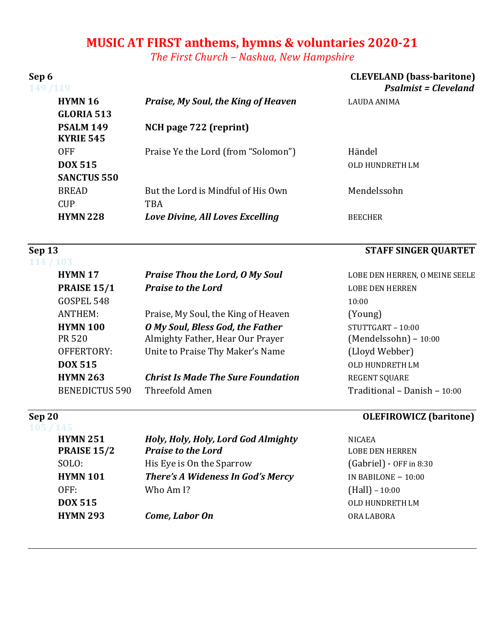# **MUSIC AT FIRST anthems, hymns & voluntaries 2020-21**

The First Church – Nashua, New Hampshire

| Sep 6<br>149 /119                    |                                           | <b>CLEVELAND</b> (bass-baritone)<br><b>Psalmist = Cleveland</b> |  |
|--------------------------------------|-------------------------------------------|-----------------------------------------------------------------|--|
| <b>HYMN 16</b><br><b>GLORIA 513</b>  | Praise, My Soul, the King of Heaven       | <b>LAUDA ANIMA</b>                                              |  |
| <b>PSALM 149</b><br><b>KYRIE 545</b> | NCH page 722 (reprint)                    |                                                                 |  |
| <b>OFF</b>                           | Praise Ye the Lord (from "Solomon")       | Händel                                                          |  |
| <b>DOX 515</b>                       |                                           | OLD HUNDRETH LM                                                 |  |
| <b>SANCTUS 550</b>                   |                                           |                                                                 |  |
| <b>BREAD</b>                         | But the Lord is Mindful of His Own        | Mendelssohn                                                     |  |
| <b>CUP</b>                           | <b>TBA</b>                                |                                                                 |  |
| <b>HYMN 228</b>                      | Love Divine, All Loves Excelling          | <b>BEECHER</b>                                                  |  |
| Sep 13                               |                                           | <b>STAFF SINGER QUARTET</b>                                     |  |
| <b>103</b>                           |                                           |                                                                 |  |
| <b>HYMN17</b>                        | <b>Praise Thou the Lord, O My Soul</b>    | LOBE DEN HERREN, O MEINE SEELE                                  |  |
| <b>PRAISE 15/1</b>                   | <b>Praise to the Lord</b>                 | <b>LOBE DEN HERREN</b>                                          |  |
| GOSPEL 548                           |                                           | 10:00                                                           |  |
| <b>ANTHEM:</b>                       | Praise, My Soul, the King of Heaven       | (Young)                                                         |  |
| <b>HYMN 100</b>                      | O My Soul, Bless God, the Father          | STUTTGART - 10:00                                               |  |
| <b>PR 520</b>                        | Almighty Father, Hear Our Prayer          | (Mendelssohn) - 10:00                                           |  |
| OFFERTORY:                           | Unite to Praise Thy Maker's Name          | (Lloyd Webber)                                                  |  |
| <b>DOX 515</b>                       |                                           | <b>OLD HUNDRETH LM</b>                                          |  |
| <b>HYMN 263</b>                      | <b>Christ Is Made The Sure Foundation</b> | <b>REGENT SQUARE</b>                                            |  |
| <b>BENEDICTUS 590</b>                | Threefold Amen                            | Traditional - Danish - 10:00                                    |  |
| Sep 20                               |                                           | <b>OLEFIROWICZ</b> (baritone)                                   |  |
| <b>HYMN 251</b>                      | Holy, Holy, Holy, Lord God Almighty       | <b>NICAEA</b>                                                   |  |
| <b>PRAISE 15/2</b>                   | <b>Praise to the Lord</b>                 | <b>LOBE DEN HERREN</b>                                          |  |
| SOLO:                                | His Eye is On the Sparrow                 | (Gabriel) - OFF in 8:30                                         |  |
| <b>HYMN 101</b>                      | There's A Wideness In God's Mercy         | IN BABILONE $- 10:00$                                           |  |
| OFF:                                 | Who Am I?                                 | $(Hall) - 10:00$                                                |  |
| <b>DOX 515</b>                       |                                           | OLD HUNDRETH LM                                                 |  |

**HYMN 293** *Come, Labor On* ORA LABORA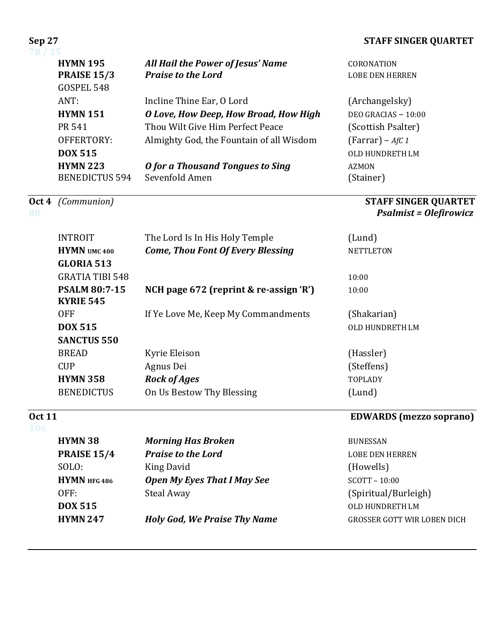### **STAFF SINGER QUARTET**

| ال ک                  |                                          |                        |
|-----------------------|------------------------------------------|------------------------|
| <b>HYMN 195</b>       | All Hail the Power of Jesus' Name        | <b>CORONATION</b>      |
| <b>PRAISE 15/3</b>    | <b>Praise to the Lord</b>                | <b>LOBE DEN HERREN</b> |
| GOSPEL 548            |                                          |                        |
| ANT:                  | Incline Thine Ear, O Lord                | (Archangelsky)         |
| <b>HYMN 151</b>       | O Love, How Deep, How Broad, How High    | DEO GRACIAS $-10:00$   |
| PR 541                | Thou Wilt Give Him Perfect Peace         | (Scottish Psalter)     |
| OFFERTORY:            | Almighty God, the Fountain of all Wisdom | $(Farrar) - A f C 1$   |
| <b>DOX 515</b>        |                                          | OLD HUNDRETH LM        |
| <b>HYMN 223</b>       | O for a Thousand Tongues to Sing         | <b>AZMON</b>           |
| <b>BENEDICTUS 594</b> | Sevenfold Amen                           | [Stainer]              |
|                       |                                          |                        |

### **Oct 4** *(Communion)* **STAFF SINGER QUARTET 80** *Psalmist* **= Olefirowicz**

| <b>INTROIT</b>         | The Lord Is In His Holy Temple           | (Lund)           |
|------------------------|------------------------------------------|------------------|
| <b>HYMN</b> UMC 400    | <b>Come, Thou Font Of Every Blessing</b> | <b>NETTLETON</b> |
| <b>GLORIA 513</b>      |                                          |                  |
| <b>GRATIA TIBI 548</b> |                                          | 10:00            |
| <b>PSALM 80:7-15</b>   | NCH page 672 (reprint & re-assign 'R')   | 10:00            |
| <b>KYRIE 545</b>       |                                          |                  |
| <b>OFF</b>             | If Ye Love Me, Keep My Commandments      | (Shakarian)      |
| <b>DOX 515</b>         |                                          | OLD HUNDRETH LM  |
| <b>SANCTUS 550</b>     |                                          |                  |
| <b>BREAD</b>           | Kyrie Eleison                            | (Hassler)        |
| <b>CUP</b>             | Agnus Dei                                | (Steffens)       |
| <b>HYMN 358</b>        | <b>Rock of Ages</b>                      | <b>TOPLADY</b>   |
| <b>BENEDICTUS</b>      | On Us Bestow Thy Blessing                | (Lund)           |

# **106**

## **COMARDS** (mezzo soprano)

| <b>HYMN 38</b>     | <b>Morning Has Broken</b>           | <b>BUNESSAN</b>                    |
|--------------------|-------------------------------------|------------------------------------|
| <b>PRAISE 15/4</b> | <b>Praise to the Lord</b>           | <b>LOBE DEN HERREN</b>             |
| SOLO:              | King David                          | (Howells)                          |
| HYMN HFG486        | <b>Open My Eyes That I May See</b>  | $SCOTT - 10:00$                    |
| OFF:               | <b>Steal Away</b>                   | (Spiritual/Burleigh)               |
| <b>DOX 515</b>     |                                     | OLD HUNDRETH LM                    |
| <b>HYMN 247</b>    | <b>Holy God, We Praise Thy Name</b> | <b>GROSSER GOTT WIR LOBEN DICH</b> |
|                    |                                     |                                    |

# **Sep 27**<br>78 / 25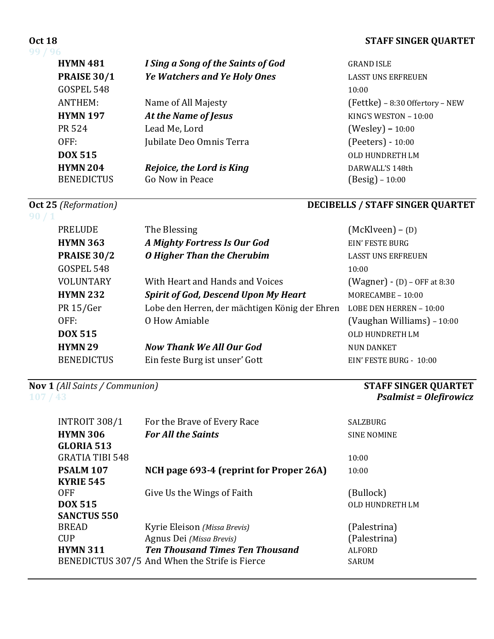### **Oct 18 STAFF SINGER QUARTET**

**99 / 96**

| <b>HYMN 481</b>    | I Sing a Song of the Saints of God  | <b>GRAN</b>       |
|--------------------|-------------------------------------|-------------------|
| <b>PRAISE 30/1</b> | <b>Ye Watchers and Ye Holy Ones</b> | LASS <sub>1</sub> |
| GOSPEL 548         |                                     | 10:00             |
| ANTHEM:            | Name of All Majesty                 | (Fett             |
| <b>HYMN 197</b>    | At the Name of Jesus                | KING'             |
| PR 524             | Lead Me, Lord                       | (Wes              |
| OFF:               | Jubilate Deo Omnis Terra            | (Peet             |
| DOX 515            |                                     | OLD F             |
| <b>HYMN 204</b>    | Rejoice, the Lord is King           | <b>DARV</b>       |
| <b>BENEDICTUS</b>  | Go Now in Peace                     | (Besi             |

# GRAND **ISLE LASST UNS ERFREUEN**  $(Fettke) - 8:30$  Offertory – NEW **KING'S WESTON – 10:00** (Wesley) – 10:00 (Peeters) - 10:00 **OLD HUNDRETH LM** DARWALL'S 148th  $(Besig) - 10:00$

**Psalmist = Olefirowicz** 

# **Oct 25** (Reformation) *DECIBELLS* / **STAFF SINGER QUARTET**

| 90/1 |                    |                                                |                                |
|------|--------------------|------------------------------------------------|--------------------------------|
|      | <b>PRELUDE</b>     | The Blessing                                   | $(McKlveen) - (D)$             |
|      | <b>HYMN 363</b>    | A Mighty Fortress Is Our God                   | EIN' FESTE BURG                |
|      | <b>PRAISE 30/2</b> | <b>O</b> Higher Than the Cherubim              | <b>LASST UNS ERFREUEN</b>      |
|      | GOSPEL 548         |                                                | 10:00                          |
|      | <b>VOLUNTARY</b>   | With Heart and Hands and Voices                | $(Wagner) - (D) - OFF at 8:30$ |
|      | <b>HYMN 232</b>    | <b>Spirit of God, Descend Upon My Heart</b>    | MORECAMBE $-10:00$             |
|      | PR 15/Ger          | Lobe den Herren, der mächtigen König der Ehren | LOBE DEN HERREN - 10:00        |
|      | OFF:               | O How Amiable                                  | (Vaughan Williams) - 10:00     |
|      | <b>DOX 515</b>     |                                                | OLD HUNDRETH LM                |
|      | <b>HYMN 29</b>     | <b>Now Thank We All Our God</b>                | <b>NUN DANKET</b>              |
|      | <b>BENEDICTUS</b>  | Ein feste Burg ist unser' Gott                 | EIN' FESTE BURG - 10:00        |

**Nov 1** (All Saints / Communion) *STAFF SINGER QUARTET STAFF SINGER QUARTET STAFF SINGER QUARTET* 

| <b>INTROIT 308/1</b><br><b>HYMN 306</b><br><b>GLORIA 513</b> | For the Brave of Every Race<br><b>For All the Saints</b>                                                                                             | SALZBURG<br><b>SINE NOMINE</b>                                |
|--------------------------------------------------------------|------------------------------------------------------------------------------------------------------------------------------------------------------|---------------------------------------------------------------|
| <b>GRATIA TIBI 548</b>                                       |                                                                                                                                                      | 10:00                                                         |
| <b>PSALM 107</b><br><b>KYRIE 545</b>                         | NCH page 693-4 (reprint for Proper 26A)                                                                                                              | 10:00                                                         |
| 0FF<br><b>DOX 515</b><br><b>SANCTUS 550</b>                  | Give Us the Wings of Faith                                                                                                                           | (Bullock)<br>OLD HUNDRETH LM                                  |
| <b>BREAD</b><br><b>CUP</b><br><b>HYMN 311</b>                | Kyrie Eleison (Missa Brevis)<br>Agnus Dei (Missa Brevis)<br><b>Ten Thousand Times Ten Thousand</b><br>BENEDICTUS 307/5 And When the Strife is Fierce | (Palestrina)<br>(Palestrina)<br><b>ALFORD</b><br><b>SARUM</b> |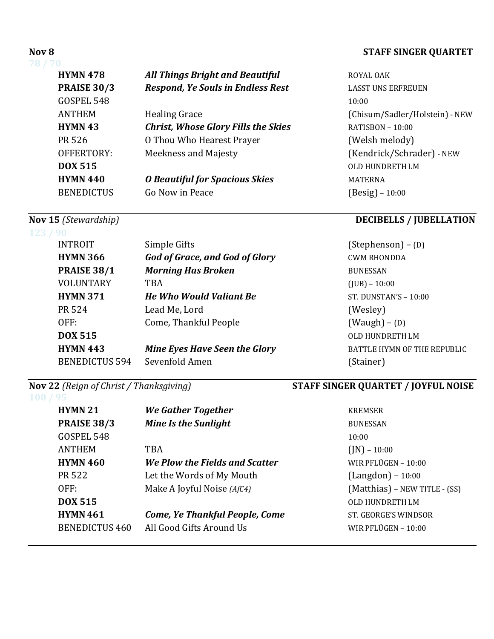| <b>HYMN 478</b>    | <b>All Things Bright and Beautiful</b>     | ROYAL OAK                      |
|--------------------|--------------------------------------------|--------------------------------|
| <b>PRAISE 30/3</b> | <b>Respond, Ye Souls in Endless Rest</b>   | <b>LASST UNS ERFREUEN</b>      |
| GOSPEL 548         |                                            | 10:00                          |
| <b>ANTHEM</b>      | <b>Healing Grace</b>                       | (Chisum/Sadler/Holstein) - NEW |
| <b>HYMN 43</b>     | <b>Christ, Whose Glory Fills the Skies</b> | RATISBON - 10:00               |
| PR 526             | O Thou Who Hearest Prayer                  | (Welsh melody)                 |
| OFFERTORY:         | <b>Meekness and Majesty</b>                | (Kendrick/Schrader) - NEW      |
| <b>DOX 515</b>     |                                            | OLD HUNDRETH LM                |
| <b>HYMN 440</b>    | <b>O Beautiful for Spacious Skies</b>      | <b>MATERNA</b>                 |
| <b>BENEDICTUS</b>  | Go Now in Peace                            | (Besig) – 10:00                |
|                    |                                            |                                |

## **123 / 90** INTROIT Simple Gifts (Stephenson) – (D) **HYMN** 366 *God of Grace, and God of Glory* CWM RHONDDA **PRAISE 38/1** *Morning Has Broken* BUNESSAN VOLUNTARY TBA (JUB) – 10:00 **HYMN** 371 *He Who Would Valiant Be* ST. DUNSTAN'S - 10:00 PR 524 Lead Me, Lord (Wesley) OFF: Come, Thankful People (Waugh) – (D) **DOX 515** OLD HUNDRETH LM **HYMN 443** *Mine Eyes Have Seen the Glory* BATTLE HYMN OF THE REPUBLIC BENEDICTUS 594 Sevenfold Amen (Stainer)

# **100 / 95**

| HYMN <sub>21</sub>    | We Gather Together                    | KREMSER                       |
|-----------------------|---------------------------------------|-------------------------------|
| <b>PRAISE 38/3</b>    | <b>Mine Is the Sunlight</b>           | <b>BUNESSAN</b>               |
| GOSPEL 548            |                                       | 10:00                         |
| ANTHEM                | <b>TBA</b>                            | $(N) - 10:00$                 |
| <b>HYMN 460</b>       | We Plow the Fields and Scatter        | WIR PFLÜGEN - 10:00           |
| PR 522                | Let the Words of My Mouth             | $(Langdon) - 10:00$           |
| OFF:                  | Make A Joyful Noise (AfC4)            | (Matthias) - NEW TITLE - (SS) |
| <b>DOX 515</b>        |                                       | OLD HUNDRETH LM               |
| <b>HYMN 461</b>       | <b>Come, Ye Thankful People, Come</b> | ST. GEORGE'S WINDSOR          |
| <b>BENEDICTUS 460</b> | All Good Gifts Around Us              | WIR PFLÜGEN - 10:00           |

### **Nov 8 STAFF SINGER QUARTET**

| ROYAL OAK                      |
|--------------------------------|
| <b>LASST UNS ERFREUEN</b>      |
| 10:00                          |
| (Chisum/Sadler/Holstein) - NEW |
| $RATISBON - 10:00$             |
| (Welsh melody)                 |
| (Kendrick/Schrader) - NEW      |
| OLD HUNDRETH LM                |
| MATERNA                        |
| $(Besig) - 10:00$              |

### **Nov 15** *(Stewardship) DECIBELLS**/* **<b>***JUBELLATION*

## **Nov 22** *(Reign of Christ / Thanksgiving)* **STAFF SINGER QUARTET** / **JOYFUL NOISE**

| <b>KREMSER</b>                |
|-------------------------------|
| <b>BUNESSAN</b>               |
| 10:00                         |
| $($ JN $)$ – 10:00            |
| WIR PFLÜGEN $-10:00$          |
| $(Langdon) - 10:00$           |
| (Matthias) - NEW TITLE - (SS) |
| OLD HUNDRETH LM               |
| ST. GEORGE'S WINDSOR          |
| WIR PFLÜGEN $-10:00$          |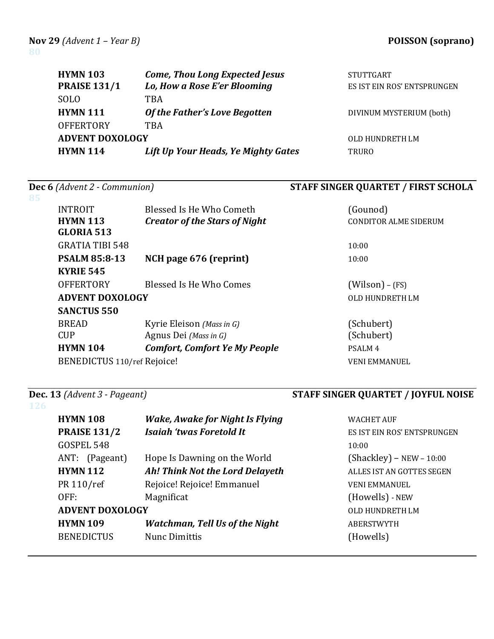| <b>HYMN 103</b><br><b>PRAISE 131/1</b> | <b>Come, Thou Long Expected Jesus</b><br>Lo, How a Rose E'er Blooming | <b>STUTTGART</b><br>ES IST EIN ROS' ENTSPRUNGEN |
|----------------------------------------|-----------------------------------------------------------------------|-------------------------------------------------|
| <b>SOLO</b>                            | TBA                                                                   |                                                 |
| <b>HYMN 111</b>                        | Of the Father's Love Begotten                                         | DIVINUM MYSTERIUM (both)                        |
| <b>OFFERTORY</b>                       | TBA                                                                   |                                                 |
| <b>ADVENT DOXOLOGY</b>                 |                                                                       | OLD HUNDRETH LM                                 |
| <b>HYMN 114</b>                        | Lift Up Your Heads, Ye Mighty Gates                                   | <b>TRURO</b>                                    |

# **Dec 6** (Advent 2 - Communion) **STAFF SINGER QUARTET** / FIRST SCHOLA

| <b>INTROIT</b><br><b>HYMN 113</b> | Blessed Is He Who Cometh<br><b>Creator of the Stars of Night</b> | (Gounod)<br>CONDITOR ALME SIDERUM |
|-----------------------------------|------------------------------------------------------------------|-----------------------------------|
| <b>GLORIA 513</b>                 |                                                                  |                                   |
| <b>GRATIA TIBI 548</b>            |                                                                  | 10:00                             |
| <b>PSALM 85:8-13</b>              | NCH page 676 (reprint)                                           | 10:00                             |
| <b>KYRIE 545</b>                  |                                                                  |                                   |
| <b>OFFERTORY</b>                  | Blessed Is He Who Comes                                          | $(Wilson) - (FS)$                 |
| <b>ADVENT DOXOLOGY</b>            |                                                                  | OLD HUNDRETH LM                   |
| <b>SANCTUS 550</b>                |                                                                  |                                   |
| <b>BREAD</b>                      | Kyrie Eleison (Mass in G)                                        | (Schubert)                        |
| <b>CUP</b>                        | Agnus Dei (Mass in G)                                            | (Schubert)                        |
| <b>HYMN 104</b>                   | <b>Comfort, Comfort Ye My People</b>                             | PSALM <sub>4</sub>                |
| BENEDICTUS 110/ref Rejoice!       |                                                                  | VENI EMMANUEL                     |

# **126**

# **Dec.** 13 *(Advent 3 - Pageant)* **STAFF SINGER QUARTET** / **JOYFUL NOISE**

| <b>HYMN 108</b><br><b>PRAISE 131/2</b><br>GOSPEL 548           | <b>Wake, Awake for Night Is Flying</b><br>Isaiah 'twas Foretold It                                          | <b>WACHET AUF</b><br>ES IST EIN ROS' ENTSPRUNGEN<br>10:00                                          |
|----------------------------------------------------------------|-------------------------------------------------------------------------------------------------------------|----------------------------------------------------------------------------------------------------|
| ANT: (Pageant)<br><b>HYMN 112</b><br>PR 110/ref<br>OFF:        | Hope Is Dawning on the World<br>Ah! Think Not the Lord Delayeth<br>Rejoice! Rejoice! Emmanuel<br>Magnificat | $(Shackley) - NEW - 10:00$<br>ALLES IST AN GOTTES SEGEN<br><b>VENI EMMANUEL</b><br>(Howells) - NEW |
| <b>ADVENT DOXOLOGY</b><br><b>HYMN 109</b><br><b>BENEDICTUS</b> | <b>Watchman, Tell Us of the Night</b><br>Nunc Dimittis                                                      | <b>OLD HUNDRETH LM</b><br><b>ABERSTWYTH</b><br>(Howells)                                           |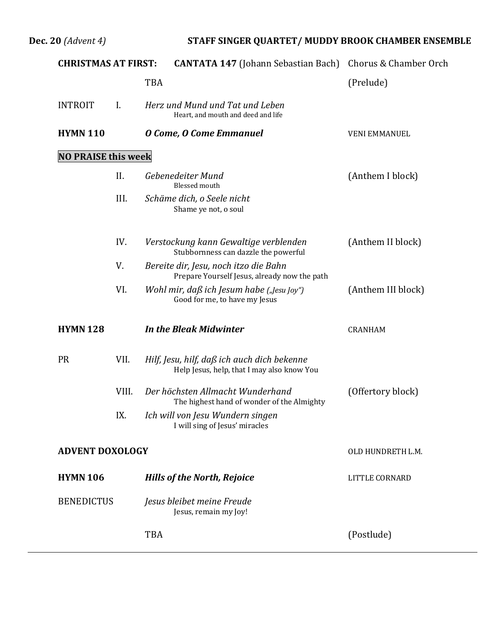# **Dec. 20** (Advent 4) **STAFF SINGER QUARTET/ MUDDY BROOK CHAMBER ENSEMBLE**

| <b>CHRISTMAS AT FIRST:</b> |       | <b>CANTATA 147</b> (Johann Sebastian Bach) Chorus & Chamber Orch                          |                      |
|----------------------------|-------|-------------------------------------------------------------------------------------------|----------------------|
|                            |       | <b>TBA</b>                                                                                | (Prelude)            |
| <b>INTROIT</b>             | Ι.    | Herz und Mund und Tat und Leben<br>Heart, and mouth and deed and life                     |                      |
| <b>HYMN 110</b>            |       | O Come, O Come Emmanuel                                                                   | <b>VENI EMMANUEL</b> |
| <b>NO PRAISE this week</b> |       |                                                                                           |                      |
|                            | II.   | Gebenedeiter Mund<br><b>Blessed</b> mouth                                                 | (Anthem I block)     |
|                            | III.  | Schäme dich, o Seele nicht<br>Shame ye not, o soul                                        |                      |
|                            | IV.   | Verstockung kann Gewaltige verblenden<br>Stubbornness can dazzle the powerful             | (Anthem II block)    |
|                            | V.    | Bereite dir, Jesu, noch itzo die Bahn<br>Prepare Yourself Jesus, already now the path     |                      |
|                            | VI.   | Wohl mir, daß ich Jesum habe ("Jesu Joy")<br>Good for me, to have my Jesus                | (Anthem III block)   |
| <b>HYMN128</b>             |       | <b>In the Bleak Midwinter</b>                                                             | CRANHAM              |
| <b>PR</b>                  | VII.  | Hilf, Jesu, hilf, daß ich auch dich bekenne<br>Help Jesus, help, that I may also know You |                      |
|                            | VIII. | Der höchsten Allmacht Wunderhand<br>The highest hand of wonder of the Almighty            | (Offertory block)    |
|                            | IX.   | Ich will von Jesu Wundern singen<br>I will sing of Jesus' miracles                        |                      |
| <b>ADVENT DOXOLOGY</b>     |       |                                                                                           | OLD HUNDRETH L.M.    |
| <b>HYMN 106</b>            |       | <b>Hills of the North, Rejoice</b>                                                        | LITTLE CORNARD       |
| <b>BENEDICTUS</b>          |       | Jesus bleibet meine Freude<br>Jesus, remain my Joy!                                       |                      |
|                            |       | TBA                                                                                       | (Postlude)           |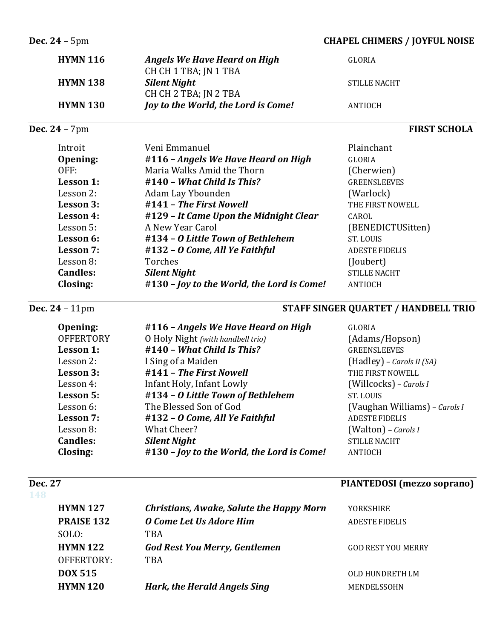### **Dec.** 24 – 5pm **CHAPEL CHIMERS** / **JOYFUL NOISE**

| <b>HYMN 116</b> | Angels We Have Heard on High        | GLORIA              |
|-----------------|-------------------------------------|---------------------|
|                 | CH CH 1 TBA; JN 1 TBA               |                     |
| <b>HYMN 138</b> | <b>Silent Night</b>                 | <b>STILLE NACHT</b> |
|                 | CH CH 2 TBA; IN 2 TBA               |                     |
| <b>HYMN 130</b> | Joy to the World, the Lord is Come! | ANTIOCH             |
|                 |                                     |                     |

# **Dec. 24** – 7pm **FIRST SCHOLA**

| Introit         | Veni Emmanuel                              | Plainchant            |
|-----------------|--------------------------------------------|-----------------------|
| Opening:        | #116 - Angels We Have Heard on High        | GLORIA                |
| OFF:            | Maria Walks Amid the Thorn                 | (Cherwien)            |
| Lesson 1:       | $#140 - What Child Is This?$               | <b>GREENSLEEVES</b>   |
| Lesson 2:       | Adam Lay Ybounden                          | (Warlock)             |
| Lesson 3:       | #141 - The First Nowell                    | THE FIRST NOWELL      |
| Lesson 4:       | #129 - It Came Upon the Midnight Clear     | CAROL                 |
| Lesson 5:       | A New Year Carol                           | (BENEDICTUSitten)     |
| Lesson 6:       | #134 - O Little Town of Bethlehem          | ST. LOUIS             |
| Lesson 7:       | #132 - O Come, All Ye Faithful             | <b>ADESTE FIDELIS</b> |
| Lesson 8:       | Torches                                    | (Joubert)             |
| <b>Candles:</b> | <b>Silent Night</b>                        | <b>STILLE NACHT</b>   |
| Closing:        | #130 - Joy to the World, the Lord is Come! | ANTIOCH               |

# **Dec.** 24 – 11pm **STAFF SINGER QUARTET** / HANDBELL TRIO

| Opening:         | #116 - Angels We Have Heard on High        | <b>GLORIA</b>                 |
|------------------|--------------------------------------------|-------------------------------|
| <b>OFFERTORY</b> | O Holy Night (with handbell trio)          | (Adams/Hopson)                |
| Lesson 1:        | #140 - What Child Is This?                 | <b>GREENSLEEVES</b>           |
| Lesson 2:        | I Sing of a Maiden                         | $(Hadley)$ – Carols II (SA)   |
| Lesson 3:        | #141 - The First Nowell                    | THE FIRST NOWELL              |
| Lesson 4:        | Infant Holy, Infant Lowly                  | (Willcocks) - Carols I        |
| Lesson 5:        | #134 - O Little Town of Bethlehem          | ST. LOUIS                     |
| Lesson 6:        | The Blessed Son of God                     | (Vaughan Williams) - Carols I |
| Lesson 7:        | #132 - O Come, All Ye Faithful             | <b>ADESTE FIDELIS</b>         |
| Lesson 8:        | <b>What Cheer?</b>                         | (Walton) - Carols I           |
| <b>Candles:</b>  | <b>Silent Night</b>                        | <b>STILLE NACHT</b>           |
| Closing:         | #130 - Joy to the World, the Lord is Come! | ANTIOCH                       |

# **Dec.** 27 **PIANTEDOSI** (mezzo soprano)

| 148 |                   |                                                 |                           |
|-----|-------------------|-------------------------------------------------|---------------------------|
|     | <b>HYMN 127</b>   | <b>Christians, Awake, Salute the Happy Morn</b> | <b>YORKSHIRE</b>          |
|     | <b>PRAISE 132</b> | O Come Let Us Adore Him                         | <b>ADESTE FIDELIS</b>     |
|     | SOLO:             | TBA                                             |                           |
|     | <b>HYMN 122</b>   | <b>God Rest You Merry, Gentlemen</b>            | <b>GOD REST YOU MERRY</b> |
|     | OFFERTORY:        | <b>TBA</b>                                      |                           |
|     | <b>DOX 515</b>    |                                                 | OLD HUNDRETH LM           |
|     | <b>HYMN 120</b>   | Hark, the Herald Angels Sing                    | MENDELSSOHN               |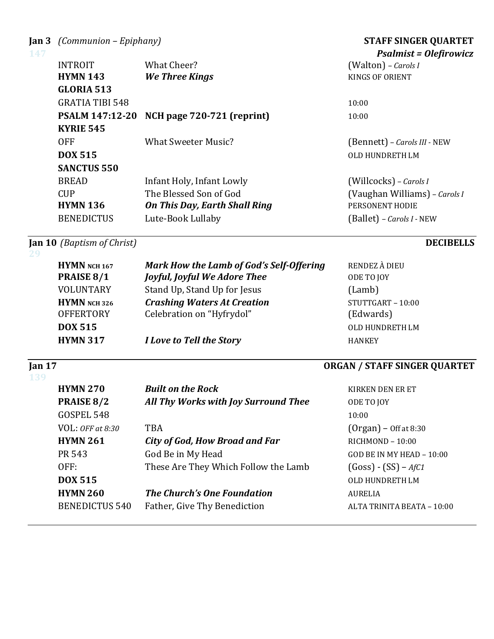**Jan 3** *(Communion – Epiphany)*  **STAFF SINGER QUARTET**

| 147 |                        |                                      | <b>Psalmist = Olefirowicz</b> |
|-----|------------------------|--------------------------------------|-------------------------------|
|     | <b>INTROIT</b>         | What Cheer?                          | (Walton) - Carols I           |
|     | <b>HYMN 143</b>        | We Three Kings                       | KINGS OF ORIENT               |
|     | <b>GLORIA 513</b>      |                                      |                               |
|     | <b>GRATIA TIBI 548</b> |                                      | 10:00                         |
|     | <b>PSALM 147:12-20</b> | NCH page 720-721 (reprint)           | 10:00                         |
|     | <b>KYRIE 545</b>       |                                      |                               |
|     | <b>OFF</b>             | What Sweeter Music?                  | (Bennett) - Carols III - NEW  |
|     | <b>DOX 515</b>         |                                      | OLD HUNDRETH LM               |
|     | <b>SANCTUS 550</b>     |                                      |                               |
|     | <b>BREAD</b>           | Infant Holy, Infant Lowly            | (Willcocks) - Carols I        |
|     | <b>CUP</b>             | The Blessed Son of God               | (Vaughan Williams) - Carols I |
|     | <b>HYMN 136</b>        | <b>On This Day, Earth Shall Ring</b> | PERSONENT HODIE               |
|     | <b>BENEDICTUS</b>      | Lute-Book Lullaby                    | (Ballet) – Carols I - NEW     |
|     |                        |                                      |                               |

**Jan 10** *(Baptism of Christ)* **DECIBELLS** 

**29**

| Jan $17$<br>139 |                     |                                          | <b>ORGAN / STAFF SINGER QUARTET</b> |
|-----------------|---------------------|------------------------------------------|-------------------------------------|
|                 | <b>HYMN 317</b>     | I Love to Tell the Story                 | <b>HANKEY</b>                       |
|                 | <b>DOX 515</b>      |                                          | OLD HUNDRETH LM                     |
|                 | <b>OFFERTORY</b>    | Celebration on "Hyfrydol"                | (Edwards)                           |
|                 | HYMN NCH 326        | <b>Crashing Waters At Creation</b>       | $STUTTGART - 10:00$                 |
|                 | <b>VOLUNTARY</b>    | Stand Up, Stand Up for Jesus             | (Lamb)                              |
|                 | PRAISE 8/1          | <b>Joyful, Joyful We Adore Thee</b>      | ODE TO JOY                          |
|                 | <b>HYMN</b> NCH 167 | Mark How the Lamb of God's Self-Offering | RENDEZ À DIEU                       |
| -29             |                     |                                          |                                     |

| <b>HYMN 270</b>       | <b>Built on the Rock</b>              | KIRKEN DEN ER ET           |
|-----------------------|---------------------------------------|----------------------------|
| PRAISE 8/2            | All Thy Works with Joy Surround Thee  | ODE TO JOY                 |
| GOSPEL 548            |                                       | 10:00                      |
| $VOL:$ OFF at 8:30    | <b>TBA</b>                            | $(Organ)$ – Off at 8:30    |
| <b>HYMN 261</b>       | <b>City of God, How Broad and Far</b> | RICHMOND - 10:00           |
| PR 543                | God Be in My Head                     | GOD BE IN MY HEAD - 10:00  |
| OFF:                  | These Are They Which Follow the Lamb  | $(Goss) - (SS) - AfC1$     |
| <b>DOX 515</b>        |                                       | OLD HUNDRETH LM            |
| <b>HYMN 260</b>       | <b>The Church's One Foundation</b>    | <b>AURELIA</b>             |
| <b>BENEDICTUS 540</b> | Father, Give Thy Benediction          | ALTA TRINITA BEATA - 10:00 |
|                       |                                       |                            |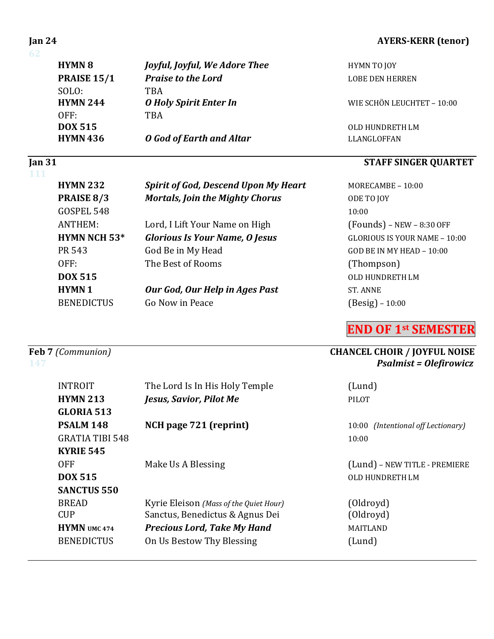### **62**

| <b>HYMN 8</b>      | <i>Joyful, Joyful, We Adore Thee</i> | HYMN TO JOY                |
|--------------------|--------------------------------------|----------------------------|
| <b>PRAISE 15/1</b> | <b>Praise to the Lord</b>            | <b>LOBE DEN HERREN</b>     |
| SOLO:              | TBA                                  |                            |
| <b>HYMN 244</b>    | <b>O</b> Holy Spirit Enter In        | WIE SCHÖN LEUCHTET - 10:00 |
| OFF:               | TBA                                  |                            |
| <b>DOX 515</b>     |                                      | OLD HUNDRETH LM            |
| <b>HYMN 436</b>    | <b>O</b> God of Earth and Altar      | LLANGLOFFAN                |

# **111**

| <b>HYMN 232</b>     | <b>Spirit of God, Descend Upon My Heart</b> | MORECAI          |
|---------------------|---------------------------------------------|------------------|
| PRAISE 8/3          | <b>Mortals, Join the Mighty Chorus</b>      | ODE TO JO        |
| GOSPEL 548          |                                             | 10:00            |
| ANTHEM:             | Lord, I Lift Your Name on High              | (Founds          |
| <b>HYMN NCH 53*</b> | <b>Glorious Is Your Name, O Jesus</b>       | <b>GLORIOU</b>   |
| PR 543              | God Be in My Head                           | <b>GOD BE II</b> |
| OFF:                | The Best of Rooms                           | (Thomp           |
| <b>DOX 515</b>      |                                             | <b>OLD HUN</b>   |
| <b>HYMN1</b>        | Our God, Our Help in Ages Past              | <b>ST. ANNE</b>  |
| <b>BENEDICTUS</b>   | Go Now in Peace                             | $(Besig)$ .      |
|                     |                                             |                  |

| <b>INTROIT</b>         | The Lord Is In His Holy Temple         | (Lund)                             |
|------------------------|----------------------------------------|------------------------------------|
| <b>HYMN 213</b>        | Jesus, Savior, Pilot Me                | <b>PILOT</b>                       |
| GLORIA 513             |                                        |                                    |
| PSALM 148              | NCH page 721 (reprint)                 | 10:00 (Intentional off Lectionary) |
| <b>GRATIA TIBI 548</b> |                                        | 10:00                              |
| <b>KYRIE 545</b>       |                                        |                                    |
| <b>OFF</b>             | Make Us A Blessing                     | (Lund) - NEW TITLE - PREMIERE      |
| <b>DOX 515</b>         |                                        | OLD HUNDRETH LM                    |
| <b>SANCTUS 550</b>     |                                        |                                    |
| <b>BREAD</b>           | Kyrie Eleison (Mass of the Quiet Hour) | (Oldroyd)                          |
| <b>CUP</b>             | Sanctus, Benedictus & Agnus Dei        | (Oldroyd)                          |
| <b>HYMN</b> UMC 474    | <b>Precious Lord, Take My Hand</b>     | <b>MAITLAND</b>                    |
| <b>BENEDICTUS</b>      | On Us Bestow Thy Blessing              | (Lund)                             |
|                        |                                        |                                    |

### **Jan 24 AYERS-KERR** (tenor)

# **If The STAFF SINGER QUARTET**

**MORECAMBE – 10:00 PDE TO JOY**  $(Founds)$  – NEW – 8:30 OFF GLORIOUS IS YOUR NAME – 10:00 GOD BE IN MY HEAD –  $10:00$ (Thompson) **OLD HUNDRETH LM**  $(Besig) - 10:00$ 

**END OF 1st SEMESTER**

## **Feb 7** (Communion) **CHANCEL CHOIR** / **JOYFUL NOISE 147** *Psalmist* **= Olefirowicz**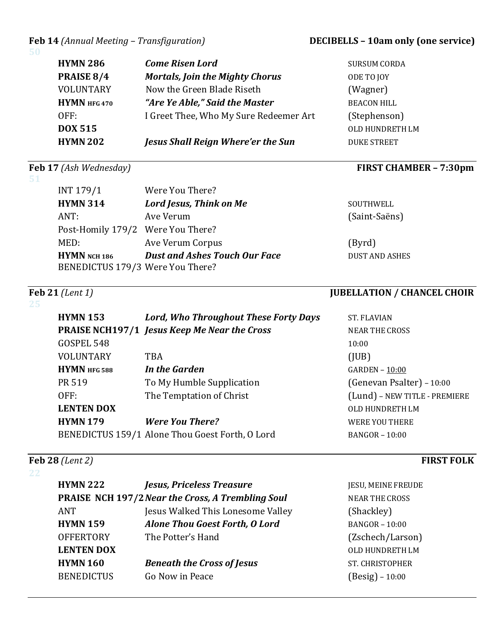### **Feb 14** (Annual Meeting – Transfiguration) **DECIBELLS** – **10am only (one service)**

**SURSUM CORDA PDE TO JOY** (Wagner) **BEACON HILL** (Stephenson) **OLD HUNDRETH LM** 

**DUKE STREET** 

**51**

| <b>HYMN 286</b> | <b>Come Risen Lord</b>                 |
|-----------------|----------------------------------------|
| PRAISE 8/4      | <b>Mortals, Join the Mighty Chorus</b> |
| VOLUNTARY       | Now the Green Blade Riseth             |
| $HYMN$ HFG 470  | "Are Ye Able," Said the Master         |
| OFF:            | I Greet Thee, Who My Sure Redeemer Art |
| DOX 515         |                                        |
| <b>HYMN 202</b> | Jesus Shall Reign Where'er the Sun     |

# **Feb 17** (Ash Wednesday) *FIRST CHAMBER – 7:30pm*

| INT 179/1                                        | Were You There?                      |                       |
|--------------------------------------------------|--------------------------------------|-----------------------|
| <b>HYMN 314</b>                                  | Lord Jesus, Think on Me              | SOUTHWELL             |
| ANT:                                             | Ave Verum                            | (Saint-Saëns)         |
| Post-Homily 179/2 Were You There?                |                                      |                       |
| MED:                                             | Ave Verum Corpus                     | (Byrd)                |
| HYMN NCH 186<br>BENEDICTUS 179/3 Were You There? | <b>Dust and Ashes Touch Our Face</b> | <b>DUST AND ASHES</b> |

# **Feb 21** *(Lent 1)* **JUBELLATION** / **CHANCEL CHOIR**

| <b>HYMN 153</b>   | Lord, Who Throughout These Forty Days               | <b>ST. FLAVIAN</b>            |
|-------------------|-----------------------------------------------------|-------------------------------|
|                   | <b>PRAISE NCH197/1 Jesus Keep Me Near the Cross</b> | <b>NEAR THE CROSS</b>         |
| GOSPEL 548        |                                                     | 10:00                         |
| VOLUNTARY         | <b>TBA</b>                                          | (IUB)                         |
| HYMN HFG 588      | In the Garden                                       | GARDEN - 10:00                |
| PR 519            | To My Humble Supplication                           | (Genevan Psalter) - 10:00     |
| OFF:              | The Temptation of Christ                            | (Lund) - NEW TITLE - PREMIERE |
| <b>LENTEN DOX</b> |                                                     | OLD HUNDRETH LM               |
| <b>HYMN179</b>    | <b>Were You There?</b>                              | <b>WERE YOU THERE</b>         |
|                   | BENEDICTUS 159/1 Alone Thou Goest Forth, O Lord     | <b>BANGOR - 10:00</b>         |

# **Feb 28** *(Lent 2) <b>FIRST FOLK*

### **22**

| <b>HYMN 222</b>   | <b>Jesus, Priceless Treasure</b>                         | JESU, MEINE FREUDE     |
|-------------------|----------------------------------------------------------|------------------------|
|                   | <b>PRAISE NCH 197/2 Near the Cross, A Trembling Soul</b> | <b>NEAR THE CROSS</b>  |
| ANT               | Jesus Walked This Lonesome Valley                        | (Shackley)             |
| <b>HYMN 159</b>   | <b>Alone Thou Goest Forth, O Lord</b>                    | $BANGOR - 10:00$       |
| <b>OFFERTORY</b>  | The Potter's Hand                                        | (Zschech/Larson)       |
| <b>LENTEN DOX</b> |                                                          | OLD HUNDRETH LM        |
| <b>HYMN 160</b>   | <b>Beneath the Cross of Jesus</b>                        | <b>ST. CHRISTOPHER</b> |
| <b>BENEDICTUS</b> | Go Now in Peace                                          | $(Besig) - 10:00$      |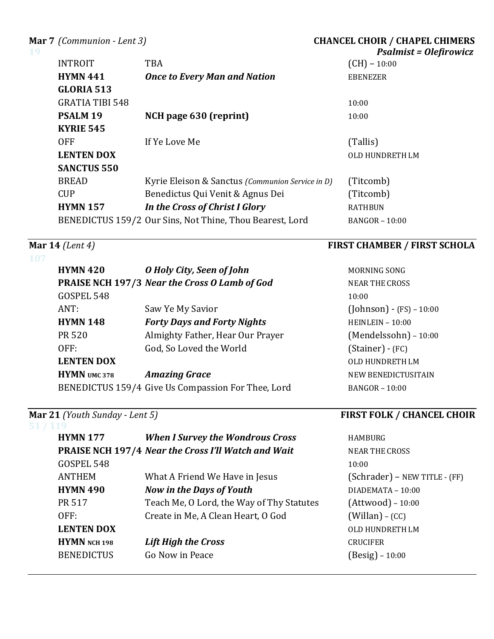**Mar 7** (Communion - Lent 3) **CHANCEL CHOIR** / **CHAPEL CHIMERS** 

| 19 |                        |                                                          | <b>Psalmist = Olefirowicz</b> |
|----|------------------------|----------------------------------------------------------|-------------------------------|
|    | <b>INTROIT</b>         | <b>TBA</b>                                               | $(CH) - 10:00$                |
|    | <b>HYMN 441</b>        | <b>Once to Every Man and Nation</b>                      | EBENEZER                      |
|    | <b>GLORIA 513</b>      |                                                          |                               |
|    | <b>GRATIA TIBI 548</b> |                                                          | 10:00                         |
|    | PSALM <sub>19</sub>    | NCH page 630 (reprint)                                   | 10:00                         |
|    | <b>KYRIE 545</b>       |                                                          |                               |
|    | <b>OFF</b>             | If Ye Love Me                                            | (Tallis)                      |
|    | <b>LENTEN DOX</b>      |                                                          | OLD HUNDRETH LM               |
|    | <b>SANCTUS 550</b>     |                                                          |                               |
|    | <b>BREAD</b>           | Kyrie Eleison & Sanctus (Communion Service in D)         | (Titcomb)                     |
|    | <b>CUP</b>             | Benedictus Qui Venit & Agnus Dei                         | (Titcomb)                     |
|    | <b>HYMN 157</b>        | In the Cross of Christ I Glory                           | <b>RATHBUN</b>                |
|    |                        | BENEDICTUS 159/2 Our Sins, Not Thine, Thou Bearest, Lord | <b>BANGOR - 10:00</b>         |

### **107**

| <b>HYMN 420</b>     | O Holy City, Seen of John                          | <b>MORN</b>      |
|---------------------|----------------------------------------------------|------------------|
|                     | PRAISE NCH 197/3 Near the Cross O Lamb of God      | <b>NEAR</b>      |
| GOSPEL 548          |                                                    | 10:00            |
| ANT:                | Saw Ye My Savior                                   | (Johr            |
| <b>HYMN 148</b>     | <b>Forty Days and Forty Nights</b>                 | <b>HEIN</b>      |
| <b>PR 520</b>       | Almighty Father, Hear Our Prayer                   | (Mer             |
| OFF:                | God, So Loved the World                            | (Stai            |
| <b>LENTEN DOX</b>   |                                                    | OLD <sub>I</sub> |
| <b>HYMN</b> UMC 378 | <b>Amazing Grace</b>                               | <b>NEW</b>       |
|                     | BENEDICTUS 159/4 Give Us Compassion For Thee, Lord | <b>BANG</b>      |

| (119              |                                                            |                 |
|-------------------|------------------------------------------------------------|-----------------|
| <b>HYMN 177</b>   | <b>When I Survey the Wondrous Cross</b>                    | <b>HAMBURG</b>  |
|                   | <b>PRAISE NCH 197/4 Near the Cross I'll Watch and Wait</b> | <b>NEAR THE</b> |
| GOSPEL 548        |                                                            | 10:00           |
| <b>ANTHEM</b>     | What A Friend We Have in Jesus                             | (Schrade        |
| <b>HYMN 490</b>   | <b>Now in the Days of Youth</b>                            | <b>DIADEMAT</b> |
| <b>PR 517</b>     | Teach Me, O Lord, the Way of Thy Statutes                  | (Attwood        |
| OFF:              | Create in Me, A Clean Heart, O God                         | (Willan)        |
| <b>LENTEN DOX</b> |                                                            | <b>OLD HUND</b> |
| HYMN NCH 198      | <b>Lift High the Cross</b>                                 | <b>CRUCIFER</b> |
| <b>BENEDICTUS</b> | Go Now in Peace                                            | $(Besig)$ –     |
|                   |                                                            |                 |

## **Mar 14** *(Lent 4)* **FIRST CHAMBER** / **FIRST SCHOLA**

**MORNING SONG NEAR THE CROSS**  $(Johnson) - (FS) - 10:00$ **HEINLEIN - 10:00** (Mendelssohn) - 10:00  $(Stainer) - (FC)$ **OLD HUNDRETH LM NEW BENEDICTUSITAIN**  $BANGOR - 10:00$ 

## **Mar 21** *(Youth Sunday - Lent 5) FIRST FOLK / CHANCEL CHOIR*

**AR THE CROSS**  $\text{chrader}$ ) – NEW TITLE - (FF) **HYMN 490** *Now in the Days of Youth* DIADEMATA – 10:00  $B = 10:00$  $Tillan) - (CC)$ **LEXTELLY**  $\begin{bmatrix} \text{e}\text{sig} \end{bmatrix}$  – 10:00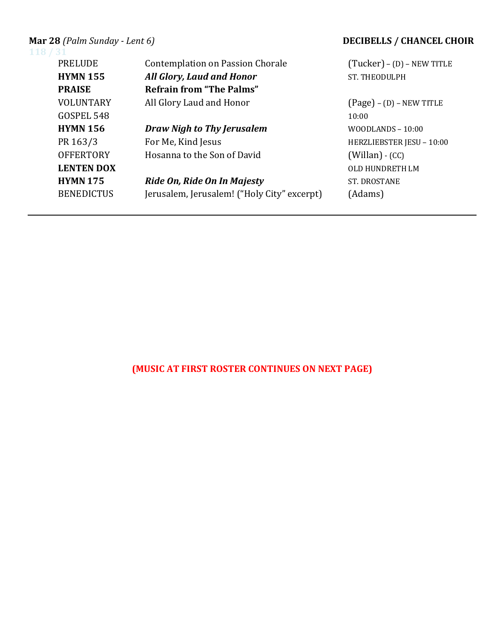# **Mar 28** (Palm Sunday - Lent 6)<br>118 / 31

| (Tucker) - (D) - NEW TITLE |
|----------------------------|
| <b>ST. THEODULPH</b>       |
|                            |
| $(Page) - (D) - NEW TITLE$ |
| 10:00                      |
| $WOODLANDS - 10:00$        |
| HERZLIEBSTER JESU - 10:00  |
| $(Willan) - (CC)$          |
| OLD HUNDRETH LM            |
| <b>ST. DROSTANE</b>        |
| (Adams)                    |
|                            |

# **(MUSIC AT FIRST ROSTER CONTINUES ON NEXT PAGE)**

### **MECIBELLS** / **CHANCEL CHOIR**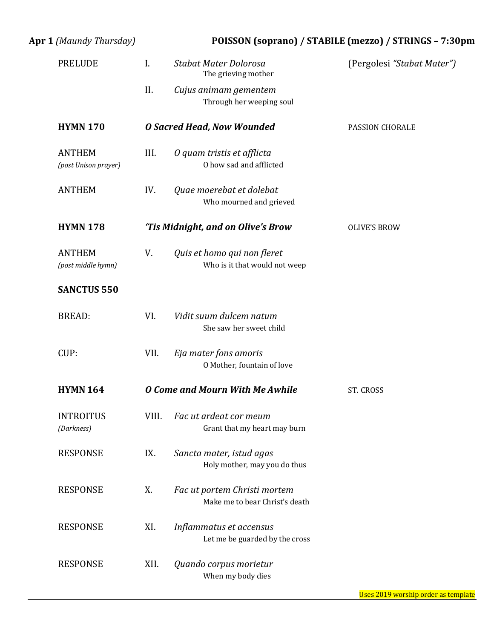| Apr 1 (Maundy Thursday)               | POISSON (soprano) / STABILE (mezzo) / STRINGS - 7:30pm |                                                                |                            |  |
|---------------------------------------|--------------------------------------------------------|----------------------------------------------------------------|----------------------------|--|
| <b>PRELUDE</b>                        | $\mathbf{I}$ .                                         | Stabat Mater Dolorosa<br>The grieving mother                   | (Pergolesi "Stabat Mater") |  |
|                                       | II.                                                    | Cujus animam gementem<br>Through her weeping soul              |                            |  |
| <b>HYMN 170</b>                       |                                                        | <b>O Sacred Head, Now Wounded</b>                              | PASSION CHORALE            |  |
| <b>ANTHEM</b><br>(post Unison prayer) | III.                                                   | O quam tristis et afflicta<br>O how sad and afflicted          |                            |  |
| <b>ANTHEM</b>                         | IV.                                                    | Quae moerebat et dolebat<br>Who mourned and grieved            |                            |  |
| <b>HYMN 178</b>                       |                                                        | 'Tis Midnight, and on Olive's Brow                             | <b>OLIVE'S BROW</b>        |  |
| <b>ANTHEM</b><br>(post middle hymn)   | V.                                                     | Quis et homo qui non fleret<br>Who is it that would not weep   |                            |  |
| <b>SANCTUS 550</b>                    |                                                        |                                                                |                            |  |
| <b>BREAD:</b>                         | VI.                                                    | Vidit suum dulcem natum<br>She saw her sweet child             |                            |  |
| CUP:                                  | VII.                                                   | Eja mater fons amoris<br>O Mother, fountain of love            |                            |  |
| <b>HYMN 164</b>                       |                                                        | <b>O Come and Mourn With Me Awhile</b>                         | ST. CROSS                  |  |
| <b>INTROITUS</b><br>(Darkness)        | VIII.                                                  | Fac ut ardeat cor meum<br>Grant that my heart may burn         |                            |  |
| <b>RESPONSE</b>                       | IX.                                                    | Sancta mater, istud agas<br>Holy mother, may you do thus       |                            |  |
| <b>RESPONSE</b>                       | X.                                                     | Fac ut portem Christi mortem<br>Make me to bear Christ's death |                            |  |
| <b>RESPONSE</b>                       | XI.                                                    | Inflammatus et accensus<br>Let me be guarded by the cross      |                            |  |
| <b>RESPONSE</b>                       | XII.                                                   | Quando corpus morietur<br>When my body dies                    |                            |  |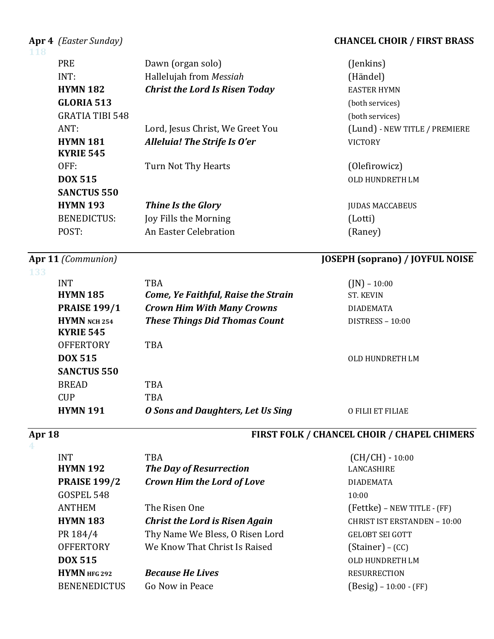### Apr 4 *(Easter Sunday)* **CHANCEL CHOIR / FIRST BRASS**

| 118 |                        |                                       |                               |
|-----|------------------------|---------------------------------------|-------------------------------|
|     | <b>PRE</b>             | Dawn (organ solo)                     | (Jenkins)                     |
|     | INT:                   | Hallelujah from Messiah               | (Händel)                      |
|     | <b>HYMN 182</b>        | <b>Christ the Lord Is Risen Today</b> | <b>EASTER HYMN</b>            |
|     | <b>GLORIA 513</b>      |                                       | (both services)               |
|     | <b>GRATIA TIBI 548</b> |                                       | (both services)               |
|     | ANT:                   | Lord, Jesus Christ, We Greet You      | (Lund) - NEW TITLE / PREMIERE |
|     | <b>HYMN 181</b>        | Alleluia! The Strife Is O'er          | <b>VICTORY</b>                |
|     | <b>KYRIE 545</b>       |                                       |                               |
|     | OFF:                   | Turn Not Thy Hearts                   | (Olefirowicz)                 |
|     | <b>DOX 515</b>         |                                       | <b>OLD HUNDRETH LM</b>        |
|     | <b>SANCTUS 550</b>     |                                       |                               |
|     | <b>HYMN 193</b>        | <b>Thine Is the Glory</b>             | <b>JUDAS MACCABEUS</b>        |
|     | <b>BENEDICTUS:</b>     | Joy Fills the Morning                 | (Lotti)                       |
|     | POST:                  | An Easter Celebration                 | (Raney)                       |
|     |                        |                                       |                               |

### **Apr 11** *(Communion)* **JOSEPH (soprano)** / **JOYFUL NOISE**

### **133**

# $INT$  TBA  $(IN) - 10:00$ **HYMN 185** *Come, Ye Faithful, Raise the Strain* ST. KEVIN **PRAISE 199/1** *Crown Him With Many Crowns* DIADEMATA **HYMN** NCH 254 *These Things Did Thomas Count* DISTRESS - 10:00 **KYRIE 545** OFFERTORY TBA **DOX 515** OLD HUNDRETH LM **SANCTUS 550** BREAD TBA CUP TBA **HYMN 191** *O Sons and Daughters, Let Us Sing* **O FILII ET FILIAE**

# **4**

### Apr 18 *Apr 18 Magneting the CHANCEL CHOIR / CHAPEL CHIMERS CHAPEL CHIMERS*

| <b>INT</b><br><b>HYMN 192</b> | <b>TBA</b><br><b>The Day of Resurrection</b> | $(CH/CH) - 10:00$<br>LANCASHIRE     |
|-------------------------------|----------------------------------------------|-------------------------------------|
| <b>PRAISE 199/2</b>           | <b>Crown Him the Lord of Love</b>            | <b>DIADEMATA</b>                    |
| GOSPEL 548                    |                                              | 10:00                               |
| <b>ANTHEM</b>                 | The Risen One                                | (Fettke) - NEW TITLE - (FF)         |
| <b>HYMN 183</b>               | <b>Christ the Lord is Risen Again</b>        | <b>CHRIST IST ERSTANDEN - 10:00</b> |
| PR 184/4                      | Thy Name We Bless, O Risen Lord              | <b>GELOBT SEI GOTT</b>              |
| <b>OFFERTORY</b>              | We Know That Christ Is Raised                | $(Stainer) - (CC)$                  |
| <b>DOX 515</b>                |                                              | OLD HUNDRETH LM                     |
| HYMN HFG 292                  | <b>Because He Lives</b>                      | <b>RESURRECTION</b>                 |
| <b>BENENEDICTUS</b>           | Go Now in Peace                              | $(Besig) - 10:00 - (FF)$            |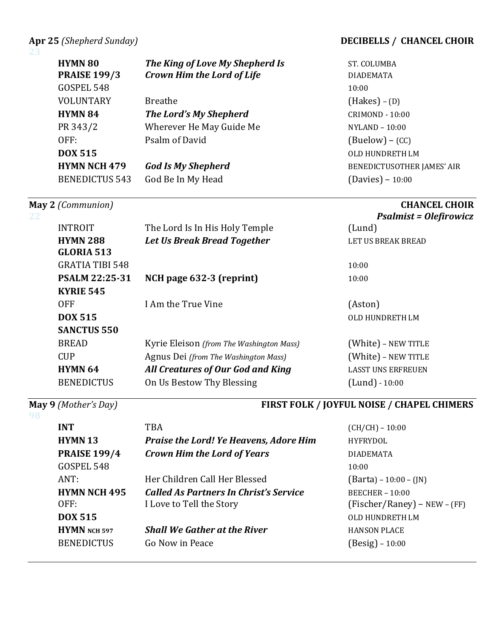### Apr 25 (Shepherd Sunday) *DECIBELLS* **/ CHANCEL CHOIR**

### **23**

| <b>HYMN 80</b><br><b>PRAISE 199/3</b><br>GOSPEL 548 | The King of Love My Shepherd Is<br><b>Crown Him the Lord of Life</b> | ST. COLUMBA<br><b>DIADEMATA</b><br>10:00              |
|-----------------------------------------------------|----------------------------------------------------------------------|-------------------------------------------------------|
| <b>VOLUNTARY</b>                                    | <b>Breathe</b>                                                       |                                                       |
|                                                     |                                                                      | $(Hakes) - (D)$                                       |
| <b>HYMN 84</b>                                      | The Lord's My Shepherd                                               | <b>CRIMOND - 10:00</b>                                |
| PR 343/2                                            | Wherever He May Guide Me                                             | NYLAND - 10:00                                        |
| OFF:                                                | Psalm of David                                                       | $(Buelow) - (CC)$                                     |
| <b>DOX 515</b>                                      |                                                                      | <b>OLD HUNDRETH LM</b>                                |
| <b>HYMN NCH 479</b>                                 | <b>God Is My Shepherd</b>                                            | BENEDICTUSOTHER JAMES' AIR                            |
| <b>BENEDICTUS 543</b>                               | God Be In My Head                                                    | $(Davies) - 10:00$                                    |
| May 2 (Communion)                                   |                                                                      | <b>CHANCEL CHOIR</b><br><b>Psalmist = Olefirowicz</b> |
| <b>INTROIT</b>                                      | The Lord Is In His Holy Temple                                       | (Lund)                                                |
| <b>HYMN 288</b>                                     | <b>Let Us Break Bread Together</b>                                   | LET US BREAK BREAD                                    |
| <b>GLORIA 513</b>                                   |                                                                      |                                                       |
| <b>GRATIA TIBI 548</b>                              |                                                                      | 10:00                                                 |
| PSALM 22:25-31                                      | NCH page 632-3 (reprint)                                             | 10:00                                                 |
| <b>KYRIE 545</b>                                    |                                                                      |                                                       |
| <b>OFF</b>                                          | I Am the True Vine                                                   | (Aston)                                               |
| <b>DOX 515</b>                                      |                                                                      | OLD HUNDRETH LM                                       |
| <b>SANCTUS 550</b>                                  |                                                                      |                                                       |
| <b>BREAD</b>                                        | Kyrie Eleison (from The Washington Mass)                             | (White) - NEW TITLE                                   |
| <b>CUP</b>                                          | Agnus Dei (from The Washington Mass)                                 | (White) - NEW TITLE                                   |
| <b>HYMN 64</b>                                      | All Creatures of Our God and King                                    | <b>LASST UNS ERFREUEN</b>                             |
| <b>BENEDICTUS</b>                                   | On Us Bestow Thy Blessing                                            | $(Lund) - 10:00$                                      |

# **98**

# **May 9** *(Mother's Day)* **FIRST FOLK / JOYFUL NOISE / CHAPEL CHIMERS**

| <b>INT</b>          | <b>TBA</b>                                    | $(CH/CH) - 10:00$                |
|---------------------|-----------------------------------------------|----------------------------------|
| <b>HYMN13</b>       | <b>Praise the Lord! Ye Heavens, Adore Him</b> | <b>HYFRYDOL</b>                  |
| <b>PRAISE 199/4</b> | <b>Crown Him the Lord of Years</b>            | <b>DIADEMATA</b>                 |
| GOSPEL 548          |                                               | 10:00                            |
| ANT:                | Her Children Call Her Blessed                 | $(Barta) - 10:00 - (JN)$         |
| <b>HYMN NCH 495</b> | Called As Partners In Christ's Service        | $BEECHER - 10:00$                |
| OFF:                | I Love to Tell the Story                      | $(Fischer/Raney)$ – NEW – $(FF)$ |
| <b>DOX 515</b>      |                                               | OLD HUNDRETH LM                  |
| HYMN NCH 597        | <b>Shall We Gather at the River</b>           | <b>HANSON PLACE</b>              |
| <b>BENEDICTUS</b>   | Go Now in Peace                               | $(Besig) - 10:00$                |
|                     |                                               |                                  |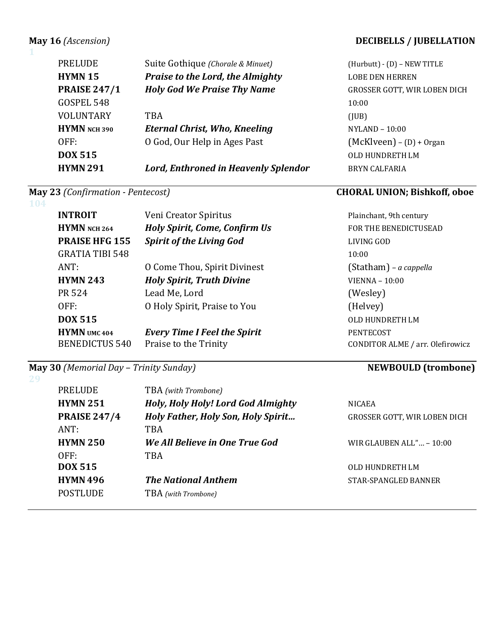| <b>HYMN 291</b>     | <b>Lord, Enthroned in Heavenly Splendor</b> | <b>BRYN</b> |
|---------------------|---------------------------------------------|-------------|
| <b>DOX 515</b>      |                                             | OLD F       |
| OFF:                | O God, Our Help in Ages Past                | (Mck)       |
| HYMN NCH 390        | <b>Eternal Christ, Who, Kneeling</b>        | <b>NYLA</b> |
| <b>VOLUNTARY</b>    | <b>TBA</b>                                  | (JUB)       |
| GOSPEL 548          |                                             | 10:00       |
| <b>PRAISE 247/1</b> | <b>Holy God We Praise Thy Name</b>          | <b>GROS</b> |
| <b>HYMN 15</b>      | Praise to the Lord, the Almighty            | <b>LOBE</b> |
| <b>PRELUDE</b>      | Suite Gothique (Chorale & Minuet)           | (Hurb       |
|                     |                                             |             |

**104**

**1**

| <b>INTROIT</b><br>HYMN NCH 264                          | Veni Creator Spiritus<br><b>Holy Spirit, Come, Confirm Us</b> | Plainchant, 9th century<br>FOR THE BENEDICTUSEAD     |
|---------------------------------------------------------|---------------------------------------------------------------|------------------------------------------------------|
| <b>PRAISE HFG 155</b>                                   | <b>Spirit of the Living God</b>                               | LIVING GOD                                           |
| <b>GRATIA TIBI 548</b>                                  |                                                               | 10:00                                                |
| ANT:                                                    | O Come Thou, Spirit Divinest                                  | (Statham) – a cappella                               |
| <b>HYMN 243</b>                                         | <b>Holy Spirit, Truth Divine</b>                              | $VIENNA - 10:00$                                     |
| PR 524                                                  | Lead Me, Lord                                                 | (Wesley)                                             |
| OFF:                                                    | O Holy Spirit, Praise to You                                  | (Helvey)                                             |
| <b>DOX 515</b>                                          |                                                               | OLD HUNDRETH LM                                      |
| <b>HYMN</b> UMC <sub>404</sub><br><b>BENEDICTUS 540</b> | <b>Every Time I Feel the Spirit</b><br>Praise to the Trinity  | <b>PENTECOST</b><br>CONDITOR ALME / arr. Olefirowicz |

## **May 30** *(Memorial Day – Trinity Sunday)* **NEWBOULD (trombone)**

| PRELUDE             | TBA (with Trombone)                       |                                     |
|---------------------|-------------------------------------------|-------------------------------------|
| <b>HYMN 251</b>     | Holy, Holy Holy! Lord God Almighty        | <b>NICAEA</b>                       |
| <b>PRAISE 247/4</b> | <b>Holy Father, Holy Son, Holy Spirit</b> | <b>GROSSER GOTT, WIR LOBEN DICH</b> |
| ANT:                | TBA                                       |                                     |
| <b>HYMN 250</b>     | We All Believe in One True God            | WIR GLAUBEN ALL" $\ldots$ – 10:00   |
| OFF:                | TBA                                       |                                     |
| <b>DOX 515</b>      |                                           | OLD HUNDRETH LM                     |
| <b>HYMN 496</b>     | <b>The National Anthem</b>                | STAR-SPANGLED BANNER                |
| <b>POSTLUDE</b>     | TBA (with Trombone)                       |                                     |

## **May 16** (Ascension) *DECIBELLS* / **JUBELLATION**

(Hurbutt) - (D) – NEW TITLE LOBE DEN HERREN **GROSSER GOTT, WIR LOBEN DICH NYLAND** – 10:00  $(McKlveen) - (D) + Organ$ **OLD HUNDRETH LM BRYN CALFARIA** 

# **May 23** *(Confirmation - Pentecost)* **CHORAL UNION; Bishkoff, oboe**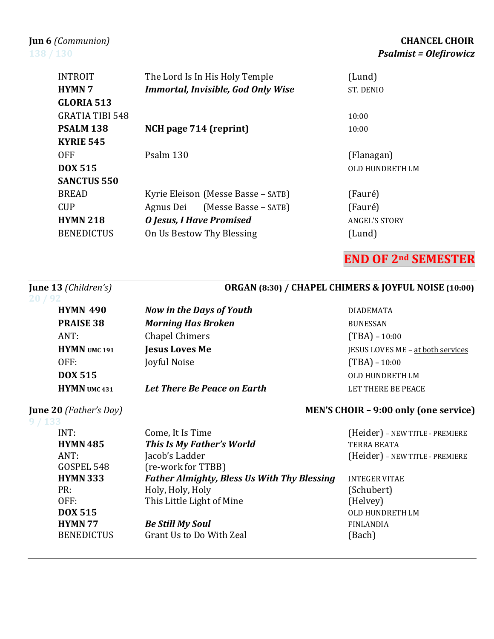| <b>INTROIT</b>         | The Lord Is In His Holy Temple            | (Lund)               |
|------------------------|-------------------------------------------|----------------------|
| <b>HYMN7</b>           | <b>Immortal, Invisible, God Only Wise</b> | ST. DENIO            |
| <b>GLORIA 513</b>      |                                           |                      |
| <b>GRATIA TIBI 548</b> |                                           | 10:00                |
| <b>PSALM 138</b>       | NCH page 714 (reprint)                    | 10:00                |
| <b>KYRIE 545</b>       |                                           |                      |
| <b>OFF</b>             | Psalm 130                                 | (Flanagan)           |
| <b>DOX 515</b>         |                                           | OLD HUNDRETH LM      |
| <b>SANCTUS 550</b>     |                                           |                      |
| <b>BREAD</b>           | Kyrie Eleison (Messe Basse – SATB)        | (Fauré)              |
| <b>CUP</b>             | (Messe Basse – SATB)<br>Agnus Dei         | (Fauré)              |
| <b>HYMN 218</b>        | <b>O</b> Jesus, I Have Promised           | <b>ANGEL'S STORY</b> |

### BENEDICTUS On Us Bestow Thy Blessing (Lund)

## **END OF 2nd SEMESTER**

# **June 13** *(Children's)*  **ORGAN (8:30) / CHAPEL CHIMERS & JOYFUL NOISE (10:00) HYMN 490** *Now in the Days of Youth* **DIADEMATA PRAISE 38** *Morning Has Broken* BUNESSAN ANT: Chapel Chimers (TBA) - 10:00 **HYMN** UMC 191 **Jesus Loves Me Jesus Jesus Me** JESUS LOVES ME – at both services OFF: Joyful Noise (TBA) – 10:00 **DOX 515** OLD HUNDRETH LM

**HYMN** umc 431 *Let There Be Peace on Earth* **Exercise 2 LET THERE BE PEACE** 

# **June 20** *(Father's Day) MEN'S CHOIR – 9:00 only (one service)*

### **9 / 133**

### INT: Come, It Is Time (Heider) – NEW TITLE - PREMIERE **HYMN 485** *This Is My Father's World* TERRA BEATA ANT: Jacob's Ladder (Heider) – NEW TITLE - PREMIERE GOSPEL 548 (re-work for TTBB) **HYMN 333** *Father Almighty, Bless Us With Thy Blessing* INTEGER VITAE PR: Holy, Holy, Holy (Schubert) OFF: This Little Light of Mine (Helvey) **DOX 515** OLD HUNDRETH LM **HYMN 77** *Be Still My Soul* **FINLANDIA** BENEDICTUS Grant Us to Do With Zeal (Bach)

### **Jun 6** *(Communion)* **CHANCEL CHOIR 138** / 130 *Psalmist* **=** *Olefirowicz*